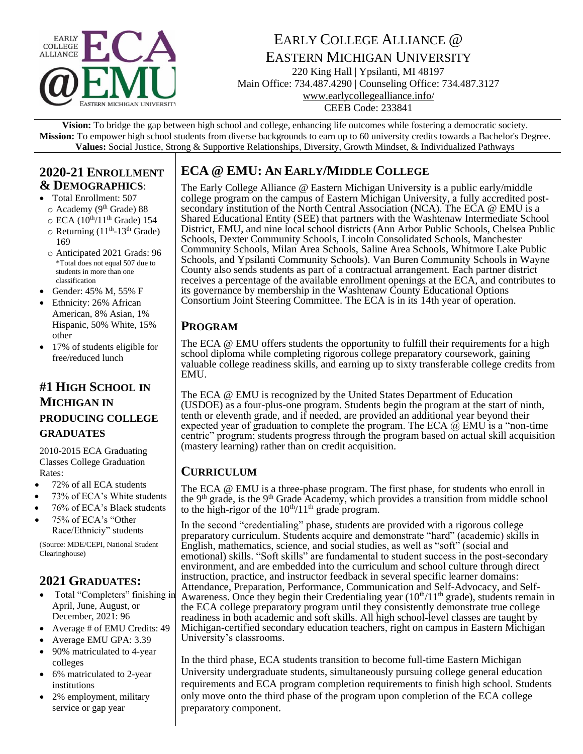

# EARLY COLLEGE ALLIANCE @ EASTERN MICHIGAN UNIVERSITY

220 King Hall | Ypsilanti, MI 48197 Main Office: 734.487.4290 | Counseling Office: 734.487.3127 www.earlycollegealliance.info/ CEEB Code: 233841

**Vision:** To bridge the gap between high school and college, enhancing life outcomes while fostering a democratic society. **Mission:** To empower high school students from diverse backgrounds to earn up to 60 university credits towards a Bachelor's Degree. **Values:** Social Justice, Strong & Supportive Relationships, Diversity, Growth Mindset, & Individualized Pathways

#### **2020-21 ENROLLMENT & DEMOGRAPHICS**:

- Total Enrollment: 507
	- o Academy (9th Grade) 88
	- $\circ$  ECA (10<sup>th</sup>/11<sup>th</sup> Grade) 154
	- $\circ$  Returning (11<sup>th</sup>-13<sup>th</sup> Grade) 169
	- o Anticipated 2021 Grads: 96 \*Total does not equal 507 due to students in more than one classification
- Gender: 45% M, 55% F
- Ethnicity: 26% African American, 8% Asian, 1% Hispanic, 50% White, 15% other
- 17% of students eligible for free/reduced lunch

### **#1 HIGH SCHOOL IN MICHIGAN IN PRODUCING COLLEGE GRADUATES**

2010-2015 ECA Graduating Classes College Graduation Rates:

- 72% of all ECA students
- 73% of ECA's White students
- 76% of ECA's Black students
- 75% of ECA's "Other Race/Ethniciy" students

(Source: MDE/CEPI, National Student Clearinghouse)

### **2021 GRADUATES:**

- Total "Completers" finishing in April, June, August, or December, 2021: 96
- Average # of EMU Credits: 49
- Average EMU GPA: 3.39
- 90% matriculated to 4-year colleges
- 6% matriculated to 2-year institutions
- 2% employment, military service or gap year

## **ECA @ EMU: AN EARLY/MIDDLE COLLEGE**

The Early College Alliance @ Eastern Michigan University is a public early/middle college program on the campus of Eastern Michigan University, a fully accredited postsecondary institution of the North Central Association (NCA). The ECA @ EMU is a Shared Educational Entity (SEE) that partners with the Washtenaw Intermediate School District, EMU, and nine local school districts (Ann Arbor Public Schools, Chelsea Public Schools, Dexter Community Schools, Lincoln Consolidated Schools, Manchester Community Schools, Milan Area Schools, Saline Area Schools, Whitmore Lake Public Schools, and Ypsilanti Community Schools). Van Buren Community Schools in Wayne County also sends students as part of a contractual arrangement. Each partner district receives a percentage of the available enrollment openings at the ECA, and contributes to its governance by membership in the Washtenaw County Educational Options Consortium Joint Steering Committee. The ECA is in its 14th year of operation.

## **PROGRAM**

The ECA @ EMU offers students the opportunity to fulfill their requirements for a high school diploma while completing rigorous college preparatory coursework, gaining valuable college readiness skills, and earning up to sixty transferable college credits from EMU.

The ECA @ EMU is recognized by the United States Department of Education (USDOE) as a four-plus-one program. Students begin the program at the start of ninth, tenth or eleventh grade, and if needed, are provided an additional year beyond their expected year of graduation to complete the program. The ECA  $\vec{\omega}$  EMU is a "non-time centric" program; students progress through the program based on actual skill acquisition (mastery learning) rather than on credit acquisition.

### **CURRICULUM**

The ECA @ EMU is a three-phase program. The first phase, for students who enroll in the 9<sup>th</sup> grade, is the 9<sup>th</sup> Grade Academy, which provides a transition from middle school to the high-rigor of the  $10^{th}/11^{th}$  grade program.

In the second "credentialing" phase, students are provided with a rigorous college preparatory curriculum. Students acquire and demonstrate "hard" (academic) skills in English, mathematics, science, and social studies, as well as "soft" (social and emotional) skills. "Soft skills" are fundamental to student success in the post-secondary environment, and are embedded into the curriculum and school culture through direct instruction, practice, and instructor feedback in several specific learner domains: Attendance, Preparation, Performance, Communication and Self-Advocacy, and Self-Awareness. Once they begin their Credentialing year  $(10<sup>th</sup>/11<sup>th</sup>$  grade), students remain in the ECA college preparatory program until they consistently demonstrate true college readiness in both academic and soft skills. All high school-level classes are taught by Michigan-certified secondary education teachers, right on campus in Eastern Michigan University's classrooms.

In the third phase, ECA students transition to become full-time Eastern Michigan University undergraduate students, simultaneously pursuing college general education requirements and ECA program completion requirements to finish high school. Students only move onto the third phase of the program upon completion of the ECA college preparatory component.